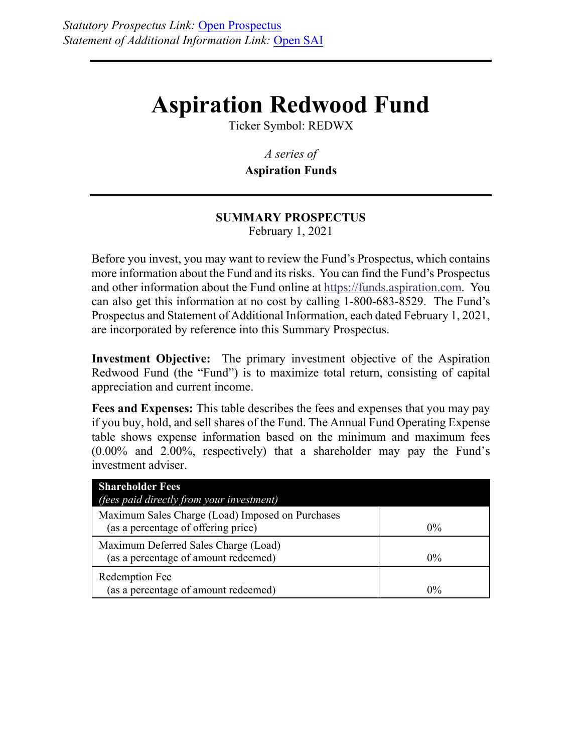# **Aspiration Redwood Fund**

Ticker Symbol: REDWX

*A series of*  **Aspiration Funds**

## **SUMMARY PROSPECTUS**  February 1, 2021

Before you invest, you may want to review the Fund's Prospectus, which contains more information about the Fund and its risks. You can find the Fund's Prospectus and other information about the Fund online at https://funds.aspiration.com. You can also get this information at no cost by calling 1-800-683-8529. The Fund's Prospectus and Statement of Additional Information, each dated February 1, 2021, are incorporated by reference into this Summary Prospectus.

**Investment Objective:** The primary investment objective of the Aspiration Redwood Fund (the "Fund") is to maximize total return, consisting of capital appreciation and current income.

**Fees and Expenses:** This table describes the fees and expenses that you may pay if you buy, hold, and sell shares of the Fund. The Annual Fund Operating Expense table shows expense information based on the minimum and maximum fees (0.00% and 2.00%, respectively) that a shareholder may pay the Fund's investment adviser.

| <b>Shareholder Fees</b><br><i>(fees paid directly from your investment)</i>             |       |
|-----------------------------------------------------------------------------------------|-------|
| Maximum Sales Charge (Load) Imposed on Purchases<br>(as a percentage of offering price) | $0\%$ |
| Maximum Deferred Sales Charge (Load)<br>(as a percentage of amount redeemed)            | $0\%$ |
| Redemption Fee<br>(as a percentage of amount redeemed)                                  | $0\%$ |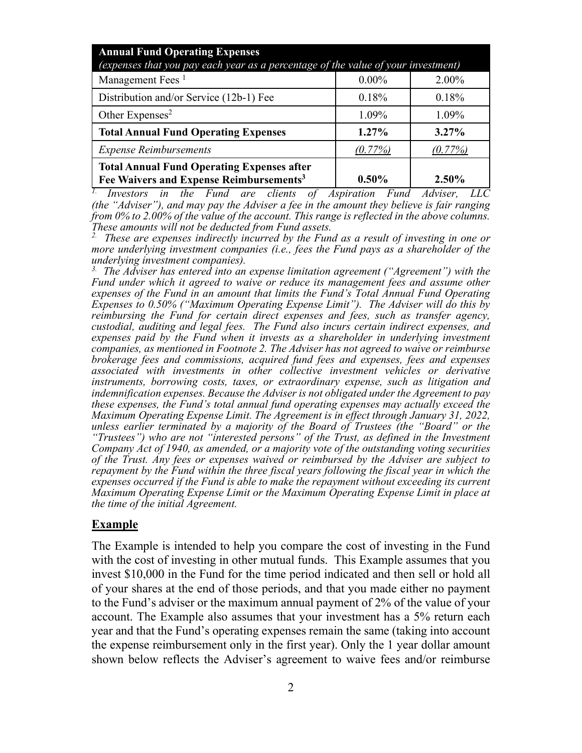| <b>Annual Fund Operating Expenses</b><br>(expenses that you pay each year as a percentage of the value of your investment) |            |          |  |
|----------------------------------------------------------------------------------------------------------------------------|------------|----------|--|
| Management Fees <sup>1</sup>                                                                                               | $0.00\%$   | 2.00%    |  |
| Distribution and/or Service (12b-1) Fee                                                                                    | 0.18%      | 0.18%    |  |
| Other Expenses <sup>2</sup>                                                                                                | 1.09%      | 1.09%    |  |
| <b>Total Annual Fund Operating Expenses</b>                                                                                | $1.27\%$   | $3.27\%$ |  |
| <b>Expense Reimbursements</b>                                                                                              | $(0.77\%)$ | (0.77%)  |  |
| <b>Total Annual Fund Operating Expenses after</b><br>Fee Waivers and Expense Reimbursements <sup>3</sup>                   | $0.50\%$   | $2.50\%$ |  |

*1. Investors in the Fund are clients of Aspiration Fund Adviser, LLC (the "Adviser"), and may pay the Adviser a fee in the amount they believe is fair ranging*  from 0% to 2.00% of the value of the account. This range is reflected in the above columns. *These amounts will not be deducted from Fund assets.* 

*2. These are expenses indirectly incurred by the Fund as a result of investing in one or more underlying investment companies (i.e., fees the Fund pays as a shareholder of the underlying investment companies).* 

*3. The Adviser has entered into an expense limitation agreement ("Agreement") with the Fund under which it agreed to waive or reduce its management fees and assume other expenses of the Fund in an amount that limits the Fund's Total Annual Fund Operating Expenses to 0.50% ("Maximum Operating Expense Limit"). The Adviser will do this by reimbursing the Fund for certain direct expenses and fees, such as transfer agency, custodial, auditing and legal fees. The Fund also incurs certain indirect expenses, and expenses paid by the Fund when it invests as a shareholder in underlying investment companies, as mentioned in Footnote 2. The Adviser has not agreed to waive or reimburse brokerage fees and commissions, acquired fund fees and expenses, fees and expenses associated with investments in other collective investment vehicles or derivative instruments, borrowing costs, taxes, or extraordinary expense, such as litigation and indemnification expenses. Because the Adviser is not obligated under the Agreement to pay these expenses, the Fund's total annual fund operating expenses may actually exceed the Maximum Operating Expense Limit. The Agreement is in effect through January 31, 2022, unless earlier terminated by a majority of the Board of Trustees (the "Board" or the "Trustees") who are not "interested persons" of the Trust, as defined in the Investment Company Act of 1940, as amended, or a majority vote of the outstanding voting securities of the Trust. Any fees or expenses waived or reimbursed by the Adviser are subject to repayment by the Fund within the three fiscal years following the fiscal year in which the expenses occurred if the Fund is able to make the repayment without exceeding its current Maximum Operating Expense Limit or the Maximum Operating Expense Limit in place at the time of the initial Agreement.* 

#### **Example**

The Example is intended to help you compare the cost of investing in the Fund with the cost of investing in other mutual funds. This Example assumes that you invest \$10,000 in the Fund for the time period indicated and then sell or hold all of your shares at the end of those periods, and that you made either no payment to the Fund's adviser or the maximum annual payment of 2% of the value of your account. The Example also assumes that your investment has a 5% return each year and that the Fund's operating expenses remain the same (taking into account the expense reimbursement only in the first year). Only the 1 year dollar amount shown below reflects the Adviser's agreement to waive fees and/or reimburse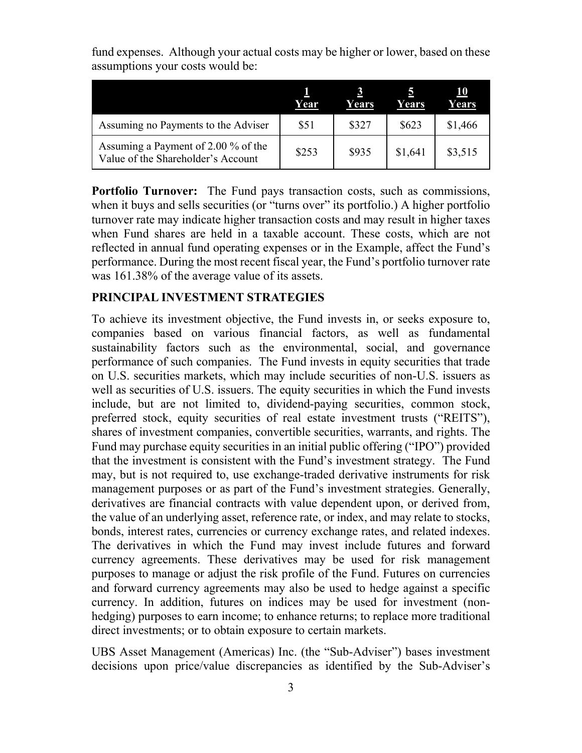|                                                                           | Year  | Years | Years   | 10<br>Years |
|---------------------------------------------------------------------------|-------|-------|---------|-------------|
| Assuming no Payments to the Adviser                                       | \$51  | \$327 | \$623   | \$1,466     |
| Assuming a Payment of 2.00 % of the<br>Value of the Shareholder's Account | \$253 | \$935 | \$1,641 | \$3,515     |

fund expenses. Although your actual costs may be higher or lower, based on these assumptions your costs would be:

**Portfolio Turnover:** The Fund pays transaction costs, such as commissions, when it buys and sells securities (or "turns over" its portfolio.) A higher portfolio turnover rate may indicate higher transaction costs and may result in higher taxes when Fund shares are held in a taxable account. These costs, which are not reflected in annual fund operating expenses or in the Example, affect the Fund's performance. During the most recent fiscal year, the Fund's portfolio turnover rate was 161.38% of the average value of its assets.

#### **PRINCIPAL INVESTMENT STRATEGIES**

To achieve its investment objective, the Fund invests in, or seeks exposure to, companies based on various financial factors, as well as fundamental sustainability factors such as the environmental, social, and governance performance of such companies. The Fund invests in equity securities that trade on U.S. securities markets, which may include securities of non-U.S. issuers as well as securities of U.S. issuers. The equity securities in which the Fund invests include, but are not limited to, dividend-paying securities, common stock, preferred stock, equity securities of real estate investment trusts ("REITS"), shares of investment companies, convertible securities, warrants, and rights. The Fund may purchase equity securities in an initial public offering ("IPO") provided that the investment is consistent with the Fund's investment strategy. The Fund may, but is not required to, use exchange-traded derivative instruments for risk management purposes or as part of the Fund's investment strategies. Generally, derivatives are financial contracts with value dependent upon, or derived from, the value of an underlying asset, reference rate, or index, and may relate to stocks, bonds, interest rates, currencies or currency exchange rates, and related indexes. The derivatives in which the Fund may invest include futures and forward currency agreements. These derivatives may be used for risk management purposes to manage or adjust the risk profile of the Fund. Futures on currencies and forward currency agreements may also be used to hedge against a specific currency. In addition, futures on indices may be used for investment (nonhedging) purposes to earn income; to enhance returns; to replace more traditional direct investments; or to obtain exposure to certain markets.

UBS Asset Management (Americas) Inc. (the "Sub-Adviser") bases investment decisions upon price/value discrepancies as identified by the Sub-Adviser's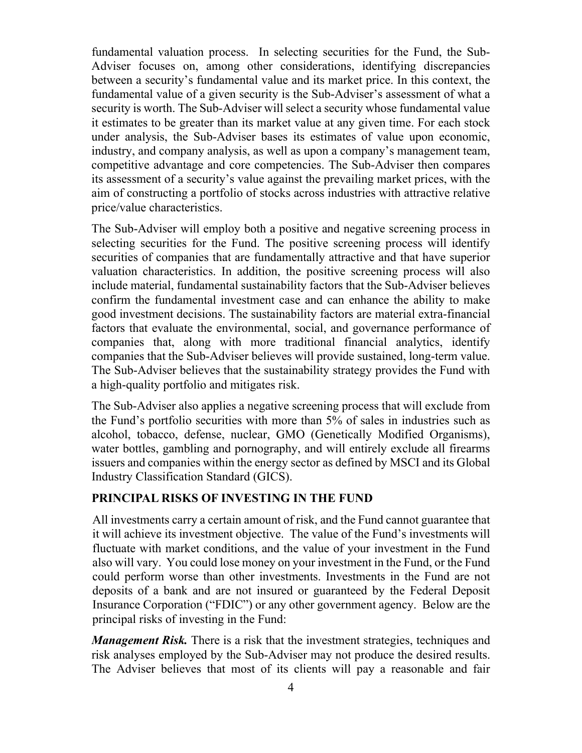fundamental valuation process. In selecting securities for the Fund, the Sub-Adviser focuses on, among other considerations, identifying discrepancies between a security's fundamental value and its market price. In this context, the fundamental value of a given security is the Sub-Adviser's assessment of what a security is worth. The Sub-Adviser will select a security whose fundamental value it estimates to be greater than its market value at any given time. For each stock under analysis, the Sub-Adviser bases its estimates of value upon economic, industry, and company analysis, as well as upon a company's management team, competitive advantage and core competencies. The Sub-Adviser then compares its assessment of a security's value against the prevailing market prices, with the aim of constructing a portfolio of stocks across industries with attractive relative price/value characteristics.

The Sub-Adviser will employ both a positive and negative screening process in selecting securities for the Fund. The positive screening process will identify securities of companies that are fundamentally attractive and that have superior valuation characteristics. In addition, the positive screening process will also include material, fundamental sustainability factors that the Sub-Adviser believes confirm the fundamental investment case and can enhance the ability to make good investment decisions. The sustainability factors are material extra-financial factors that evaluate the environmental, social, and governance performance of companies that, along with more traditional financial analytics, identify companies that the Sub-Adviser believes will provide sustained, long-term value. The Sub-Adviser believes that the sustainability strategy provides the Fund with a high-quality portfolio and mitigates risk.

The Sub-Adviser also applies a negative screening process that will exclude from the Fund's portfolio securities with more than 5% of sales in industries such as alcohol, tobacco, defense, nuclear, GMO (Genetically Modified Organisms), water bottles, gambling and pornography, and will entirely exclude all firearms issuers and companies within the energy sector as defined by MSCI and its Global Industry Classification Standard (GICS).

### **PRINCIPAL RISKS OF INVESTING IN THE FUND**

All investments carry a certain amount of risk, and the Fund cannot guarantee that it will achieve its investment objective. The value of the Fund's investments will fluctuate with market conditions, and the value of your investment in the Fund also will vary. You could lose money on your investment in the Fund, or the Fund could perform worse than other investments. Investments in the Fund are not deposits of a bank and are not insured or guaranteed by the Federal Deposit Insurance Corporation ("FDIC") or any other government agency. Below are the principal risks of investing in the Fund:

*Management Risk.* There is a risk that the investment strategies, techniques and risk analyses employed by the Sub-Adviser may not produce the desired results. The Adviser believes that most of its clients will pay a reasonable and fair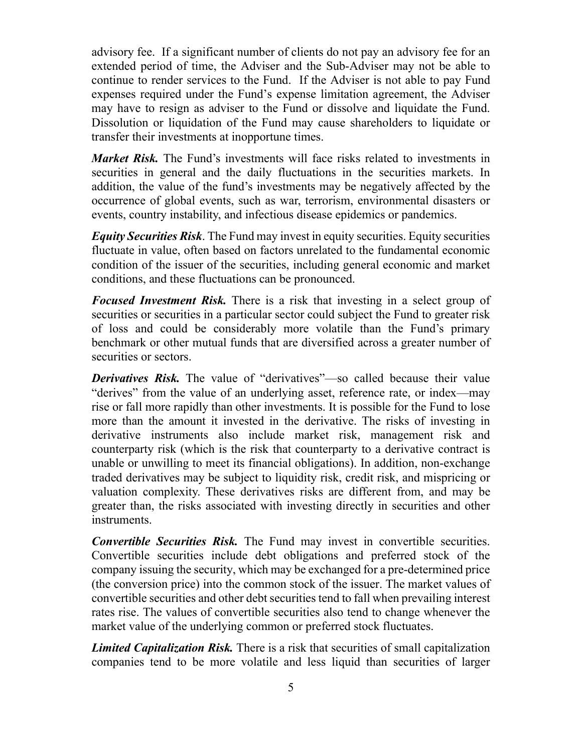advisory fee. If a significant number of clients do not pay an advisory fee for an extended period of time, the Adviser and the Sub-Adviser may not be able to continue to render services to the Fund. If the Adviser is not able to pay Fund expenses required under the Fund's expense limitation agreement, the Adviser may have to resign as adviser to the Fund or dissolve and liquidate the Fund. Dissolution or liquidation of the Fund may cause shareholders to liquidate or transfer their investments at inopportune times.

*Market Risk.* The Fund's investments will face risks related to investments in securities in general and the daily fluctuations in the securities markets. In addition, the value of the fund's investments may be negatively affected by the occurrence of global events, such as war, terrorism, environmental disasters or events, country instability, and infectious disease epidemics or pandemics.

*Equity Securities Risk*. The Fund may invest in equity securities. Equity securities fluctuate in value, often based on factors unrelated to the fundamental economic condition of the issuer of the securities, including general economic and market conditions, and these fluctuations can be pronounced.

*Focused Investment Risk.* There is a risk that investing in a select group of securities or securities in a particular sector could subject the Fund to greater risk of loss and could be considerably more volatile than the Fund's primary benchmark or other mutual funds that are diversified across a greater number of securities or sectors.

*Derivatives Risk.* The value of "derivatives"—so called because their value "derives" from the value of an underlying asset, reference rate, or index—may rise or fall more rapidly than other investments. It is possible for the Fund to lose more than the amount it invested in the derivative. The risks of investing in derivative instruments also include market risk, management risk and counterparty risk (which is the risk that counterparty to a derivative contract is unable or unwilling to meet its financial obligations). In addition, non-exchange traded derivatives may be subject to liquidity risk, credit risk, and mispricing or valuation complexity. These derivatives risks are different from, and may be greater than, the risks associated with investing directly in securities and other instruments.

*Convertible Securities Risk.* The Fund may invest in convertible securities. Convertible securities include debt obligations and preferred stock of the company issuing the security, which may be exchanged for a pre-determined price (the conversion price) into the common stock of the issuer. The market values of convertible securities and other debt securities tend to fall when prevailing interest rates rise. The values of convertible securities also tend to change whenever the market value of the underlying common or preferred stock fluctuates.

*Limited Capitalization Risk.* There is a risk that securities of small capitalization companies tend to be more volatile and less liquid than securities of larger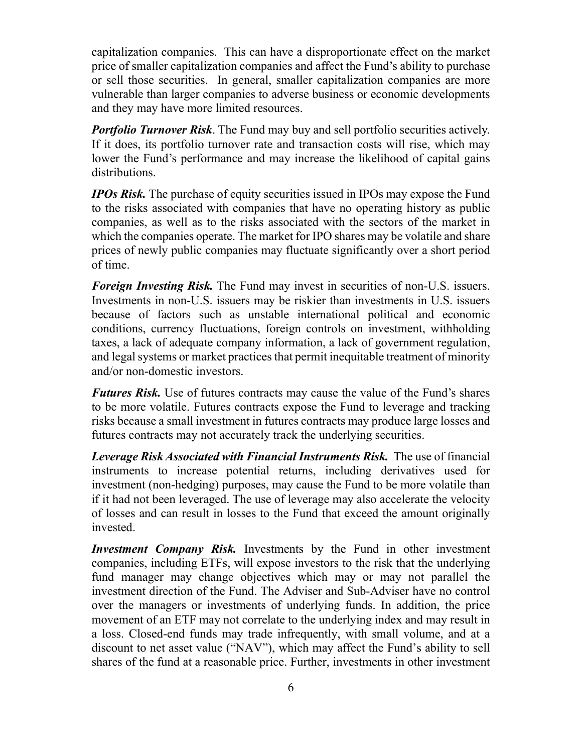capitalization companies. This can have a disproportionate effect on the market price of smaller capitalization companies and affect the Fund's ability to purchase or sell those securities. In general, smaller capitalization companies are more vulnerable than larger companies to adverse business or economic developments and they may have more limited resources.

**Portfolio Turnover Risk**. The Fund may buy and sell portfolio securities actively. If it does, its portfolio turnover rate and transaction costs will rise, which may lower the Fund's performance and may increase the likelihood of capital gains distributions.

*IPOs Risk.* The purchase of equity securities issued in IPOs may expose the Fund to the risks associated with companies that have no operating history as public companies, as well as to the risks associated with the sectors of the market in which the companies operate. The market for IPO shares may be volatile and share prices of newly public companies may fluctuate significantly over a short period of time.

*Foreign Investing Risk.* The Fund may invest in securities of non-U.S. issuers. Investments in non-U.S. issuers may be riskier than investments in U.S. issuers because of factors such as unstable international political and economic conditions, currency fluctuations, foreign controls on investment, withholding taxes, a lack of adequate company information, a lack of government regulation, and legal systems or market practices that permit inequitable treatment of minority and/or non-domestic investors.

*Futures Risk.* Use of futures contracts may cause the value of the Fund's shares to be more volatile. Futures contracts expose the Fund to leverage and tracking risks because a small investment in futures contracts may produce large losses and futures contracts may not accurately track the underlying securities.

*Leverage Risk Associated with Financial Instruments Risk.* The use of financial instruments to increase potential returns, including derivatives used for investment (non-hedging) purposes, may cause the Fund to be more volatile than if it had not been leveraged. The use of leverage may also accelerate the velocity of losses and can result in losses to the Fund that exceed the amount originally invested.

*Investment Company Risk.* Investments by the Fund in other investment companies, including ETFs, will expose investors to the risk that the underlying fund manager may change objectives which may or may not parallel the investment direction of the Fund. The Adviser and Sub-Adviser have no control over the managers or investments of underlying funds. In addition, the price movement of an ETF may not correlate to the underlying index and may result in a loss. Closed-end funds may trade infrequently, with small volume, and at a discount to net asset value ("NAV"), which may affect the Fund's ability to sell shares of the fund at a reasonable price. Further, investments in other investment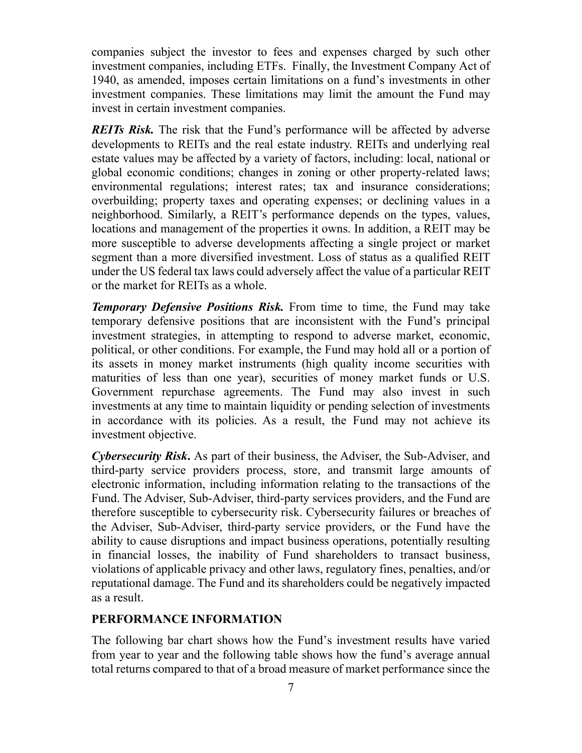companies subject the investor to fees and expenses charged by such other investment companies, including ETFs. Finally, the Investment Company Act of 1940, as amended, imposes certain limitations on a fund's investments in other investment companies. These limitations may limit the amount the Fund may invest in certain investment companies.

*REITs Risk.* The risk that the Fund's performance will be affected by adverse developments to REITs and the real estate industry. REITs and underlying real estate values may be affected by a variety of factors, including: local, national or global economic conditions; changes in zoning or other property-related laws; environmental regulations; interest rates; tax and insurance considerations; overbuilding; property taxes and operating expenses; or declining values in a neighborhood. Similarly, a REIT's performance depends on the types, values, locations and management of the properties it owns. In addition, a REIT may be more susceptible to adverse developments affecting a single project or market segment than a more diversified investment. Loss of status as a qualified REIT under the US federal tax laws could adversely affect the value of a particular REIT or the market for REITs as a whole.

*Temporary Defensive Positions Risk.* From time to time, the Fund may take temporary defensive positions that are inconsistent with the Fund's principal investment strategies, in attempting to respond to adverse market, economic, political, or other conditions. For example, the Fund may hold all or a portion of its assets in money market instruments (high quality income securities with maturities of less than one year), securities of money market funds or U.S. Government repurchase agreements. The Fund may also invest in such investments at any time to maintain liquidity or pending selection of investments in accordance with its policies. As a result, the Fund may not achieve its investment objective.

*Cybersecurity Risk***.** As part of their business, the Adviser, the Sub-Adviser, and third-party service providers process, store, and transmit large amounts of electronic information, including information relating to the transactions of the Fund. The Adviser, Sub-Adviser, third-party services providers, and the Fund are therefore susceptible to cybersecurity risk. Cybersecurity failures or breaches of the Adviser, Sub-Adviser, third-party service providers, or the Fund have the ability to cause disruptions and impact business operations, potentially resulting in financial losses, the inability of Fund shareholders to transact business, violations of applicable privacy and other laws, regulatory fines, penalties, and/or reputational damage. The Fund and its shareholders could be negatively impacted as a result.

### **PERFORMANCE INFORMATION**

The following bar chart shows how the Fund's investment results have varied from year to year and the following table shows how the fund's average annual total returns compared to that of a broad measure of market performance since the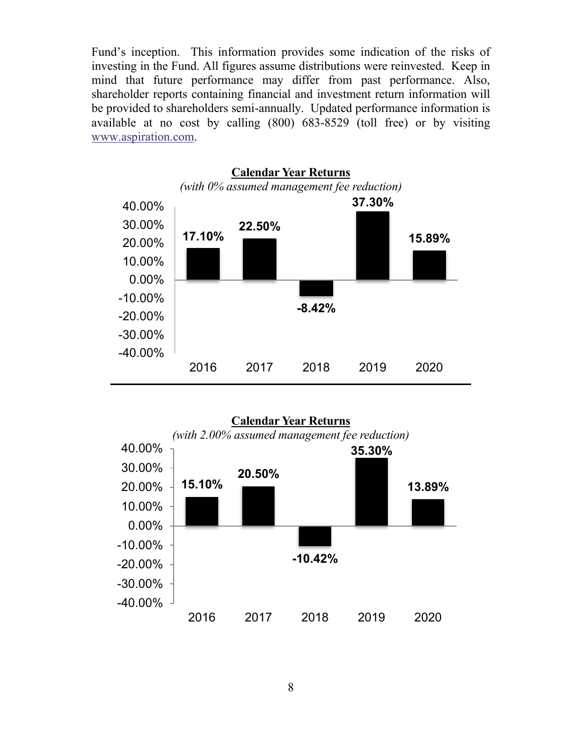Fund's inception. This information provides some indication of the risks of investing in the Fund. All figures assume distributions were reinvested. Keep in mind that future performance may differ from past performance. Also, shareholder reports containing financial and investment return information will be provided to shareholders semi-annually. Updated performance information is available at no cost by calling (800) 683-8529 (toll free) or by visiting www.aspiration.com.



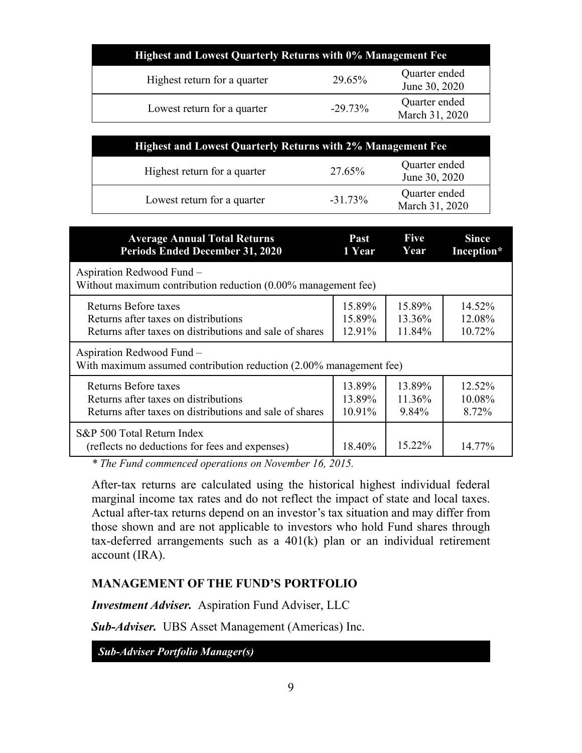| <b>Highest and Lowest Quarterly Returns with 0% Management Fee</b> |           |                                 |  |
|--------------------------------------------------------------------|-----------|---------------------------------|--|
| Highest return for a quarter                                       | 29.65%    | Quarter ended<br>June 30, 2020  |  |
| Lowest return for a quarter                                        | $-29.73%$ | Quarter ended<br>March 31, 2020 |  |

| <b>Highest and Lowest Quarterly Returns with 2% Management Fee</b> |            |                                 |
|--------------------------------------------------------------------|------------|---------------------------------|
| Highest return for a quarter                                       | 27.65%     | Quarter ended<br>June 30, 2020  |
| Lowest return for a quarter                                        | $-31.73\%$ | Quarter ended<br>March 31, 2020 |

| <b>Average Annual Total Returns</b>                                                             | Past   | <b>Five</b> | <b>Since</b> |
|-------------------------------------------------------------------------------------------------|--------|-------------|--------------|
| <b>Periods Ended December 31, 2020</b>                                                          | 1 Year | Year        | Inception*   |
| Aspiration Redwood Fund -<br>Without maximum contribution reduction $(0.00\%$ management fee)   |        |             |              |
| Returns Before taxes                                                                            | 15.89% | 15.89%      | 14.52%       |
| Returns after taxes on distributions                                                            | 15.89% | 13.36%      | 12.08%       |
| Returns after taxes on distributions and sale of shares                                         | 12.91% | 11.84%      | 10.72%       |
| Aspiration Redwood Fund -<br>With maximum assumed contribution reduction (2.00% management fee) |        |             |              |
| Returns Before taxes                                                                            | 13.89% | 13.89%      | 12.52%       |
| Returns after taxes on distributions                                                            | 13.89% | 11.36%      | 10.08%       |
| Returns after taxes on distributions and sale of shares                                         | 10.91% | 9.84%       | 8.72%        |
| S&P 500 Total Return Index<br>(reflects no deductions for fees and expenses)                    | 18.40% | $15.22\%$   | 14.77%       |

*\* The Fund commenced operations on November 16, 2015.* 

After-tax returns are calculated using the historical highest individual federal marginal income tax rates and do not reflect the impact of state and local taxes. Actual after-tax returns depend on an investor's tax situation and may differ from those shown and are not applicable to investors who hold Fund shares through tax-deferred arrangements such as a 401(k) plan or an individual retirement account (IRA).

#### **MANAGEMENT OF THE FUND'S PORTFOLIO**

*Investment Adviser.* Aspiration Fund Adviser, LLC

*Sub-Adviser.* UBS Asset Management (Americas) Inc.

*Sub-Adviser Portfolio Manager(s)*